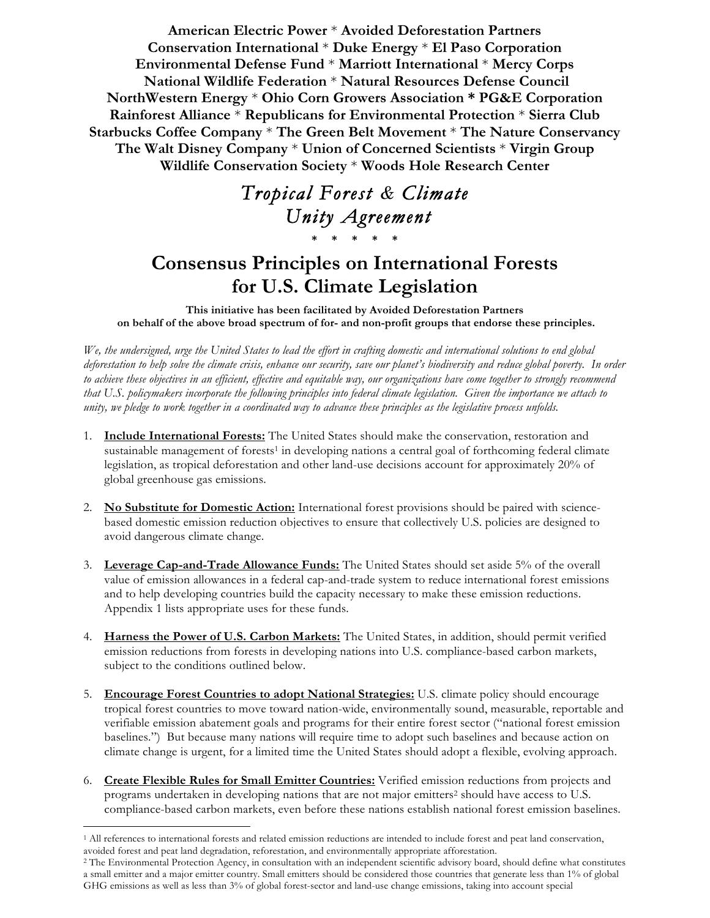**American Electric Power** \* **Avoided Deforestation Partners Conservation International** \* **Duke Energy** \* **El Paso Corporation Environmental Defense Fund** \* **Marriott International** \* **Mercy Corps National Wildlife Federation** \* **Natural Resources Defense Council NorthWestern Energy** \* **Ohio Corn Growers Association \* PG&E Corporation Rainforest Alliance** \* **Republicans for Environmental Protection** \* **Sierra Club Starbucks Coffee Company** \* **The Green Belt Movement** \* **The Nature Conservancy The Walt Disney Company** \* **Union of Concerned Scientists** \* **Virgin Group Wildlife Conservation Society** \* **Woods Hole Research Center** 

> *Tropical Forest & Climate Unity Agreement* **\* \* \* \* \***

## **Consensus Principles on International Forests for U.S. Climate Legislation**

**This initiative has been facilitated by Avoided Deforestation Partners on behalf of the above broad spectrum of for- and non-profit groups that endorse these principles.** 

*We, the undersigned, urge the United States to lead the effort in crafting domestic and international solutions to end global deforestation to help solve the climate crisis, enhance our security, save our planet's biodiversity and reduce global poverty. In order to achieve these objectives in an efficient, effective and equitable way, our organizations have come together to strongly recommend that U.S. policymakers incorporate the following principles into federal climate legislation. Given the importance we attach to unity, we pledge to work together in a coordinated way to advance these principles as the legislative process unfolds.*

- 1. **Include International Forests:** The United States should make the conservation, restoration and sustainable management of forests<sup>1</sup> in developing nations a central goal of forthcoming federal climate legislation, as tropical deforestation and other land-use decisions account for approximately 20% of global greenhouse gas emissions.
- 2. **No Substitute for Domestic Action:** International forest provisions should be paired with sciencebased domestic emission reduction objectives to ensure that collectively U.S. policies are designed to avoid dangerous climate change.
- 3. **Leverage Cap-and-Trade Allowance Funds:** The United States should set aside 5% of the overall value of emission allowances in a federal cap-and-trade system to reduce international forest emissions and to help developing countries build the capacity necessary to make these emission reductions. Appendix 1 lists appropriate uses for these funds.
- 4. **Harness the Power of U.S. Carbon Markets:** The United States, in addition, should permit verified emission reductions from forests in developing nations into U.S. compliance-based carbon markets, subject to the conditions outlined below.
- 5. **Encourage Forest Countries to adopt National Strategies:** U.S. climate policy should encourage tropical forest countries to move toward nation-wide, environmentally sound, measurable, reportable and verifiable emission abatement goals and programs for their entire forest sector ("national forest emission baselines.") But because many nations will require time to adopt such baselines and because action on climate change is urgent, for a limited time the United States should adopt a flexible, evolving approach.
- 6. **Create Flexible Rules for Small Emitter Countries:** Verified emission reductions from projects and programs undertaken in developing nations that are not major emitters<sup>2</sup> should have access to U.S. compliance-based carbon markets, even before these nations establish national forest emission baselines.

 $\overline{a}$ 

<sup>1</sup> All references to international forests and related emission reductions are intended to include forest and peat land conservation, avoided forest and peat land degradation, reforestation, and environmentally appropriate afforestation.

<sup>2</sup> The Environmental Protection Agency, in consultation with an independent scientific advisory board, should define what constitutes a small emitter and a major emitter country. Small emitters should be considered those countries that generate less than 1% of global GHG emissions as well as less than 3% of global forest-sector and land-use change emissions, taking into account special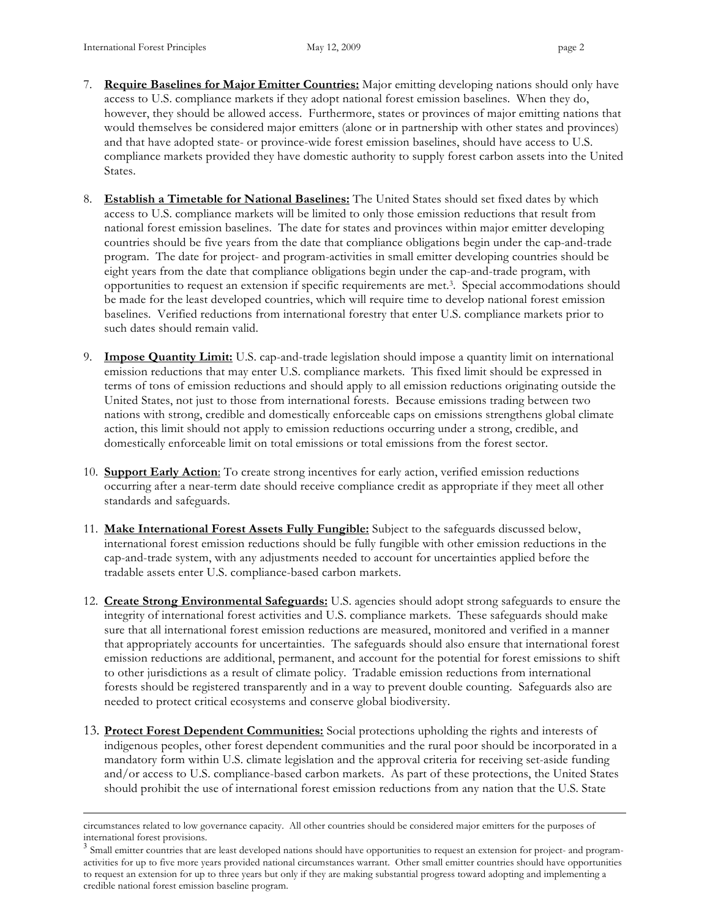$\overline{a}$ 

- 7. **Require Baselines for Major Emitter Countries:** Major emitting developing nations should only have access to U.S. compliance markets if they adopt national forest emission baselines. When they do, however, they should be allowed access. Furthermore, states or provinces of major emitting nations that would themselves be considered major emitters (alone or in partnership with other states and provinces) and that have adopted state- or province-wide forest emission baselines, should have access to U.S. compliance markets provided they have domestic authority to supply forest carbon assets into the United States.
- 8. **Establish a Timetable for National Baselines:** The United States should set fixed dates by which access to U.S. compliance markets will be limited to only those emission reductions that result from national forest emission baselines. The date for states and provinces within major emitter developing countries should be five years from the date that compliance obligations begin under the cap-and-trade program. The date for project- and program-activities in small emitter developing countries should be eight years from the date that compliance obligations begin under the cap-and-trade program, with opportunities to request an extension if specific requirements are met.3. Special accommodations should be made for the least developed countries, which will require time to develop national forest emission baselines. Verified reductions from international forestry that enter U.S. compliance markets prior to such dates should remain valid.
- 9. **Impose Quantity Limit:** U.S. cap-and-trade legislation should impose a quantity limit on international emission reductions that may enter U.S. compliance markets. This fixed limit should be expressed in terms of tons of emission reductions and should apply to all emission reductions originating outside the United States, not just to those from international forests. Because emissions trading between two nations with strong, credible and domestically enforceable caps on emissions strengthens global climate action, this limit should not apply to emission reductions occurring under a strong, credible, and domestically enforceable limit on total emissions or total emissions from the forest sector.
- 10. **Support Early Action**: To create strong incentives for early action, verified emission reductions occurring after a near-term date should receive compliance credit as appropriate if they meet all other standards and safeguards.
- 11. **Make International Forest Assets Fully Fungible:** Subject to the safeguards discussed below, international forest emission reductions should be fully fungible with other emission reductions in the cap-and-trade system, with any adjustments needed to account for uncertainties applied before the tradable assets enter U.S. compliance-based carbon markets.
- 12. **Create Strong Environmental Safeguards:** U.S. agencies should adopt strong safeguards to ensure the integrity of international forest activities and U.S. compliance markets. These safeguards should make sure that all international forest emission reductions are measured, monitored and verified in a manner that appropriately accounts for uncertainties. The safeguards should also ensure that international forest emission reductions are additional, permanent, and account for the potential for forest emissions to shift to other jurisdictions as a result of climate policy. Tradable emission reductions from international forests should be registered transparently and in a way to prevent double counting. Safeguards also are needed to protect critical ecosystems and conserve global biodiversity.
- 13. **Protect Forest Dependent Communities:** Social protections upholding the rights and interests of indigenous peoples, other forest dependent communities and the rural poor should be incorporated in a mandatory form within U.S. climate legislation and the approval criteria for receiving set-aside funding and/or access to U.S. compliance-based carbon markets. As part of these protections, the United States should prohibit the use of international forest emission reductions from any nation that the U.S. State

circumstances related to low governance capacity. All other countries should be considered major emitters for the purposes of international forest provisions.

<sup>&</sup>lt;sup>3</sup> Small emitter countries that are least developed nations should have opportunities to request an extension for project- and programactivities for up to five more years provided national circumstances warrant. Other small emitter countries should have opportunities to request an extension for up to three years but only if they are making substantial progress toward adopting and implementing a credible national forest emission baseline program.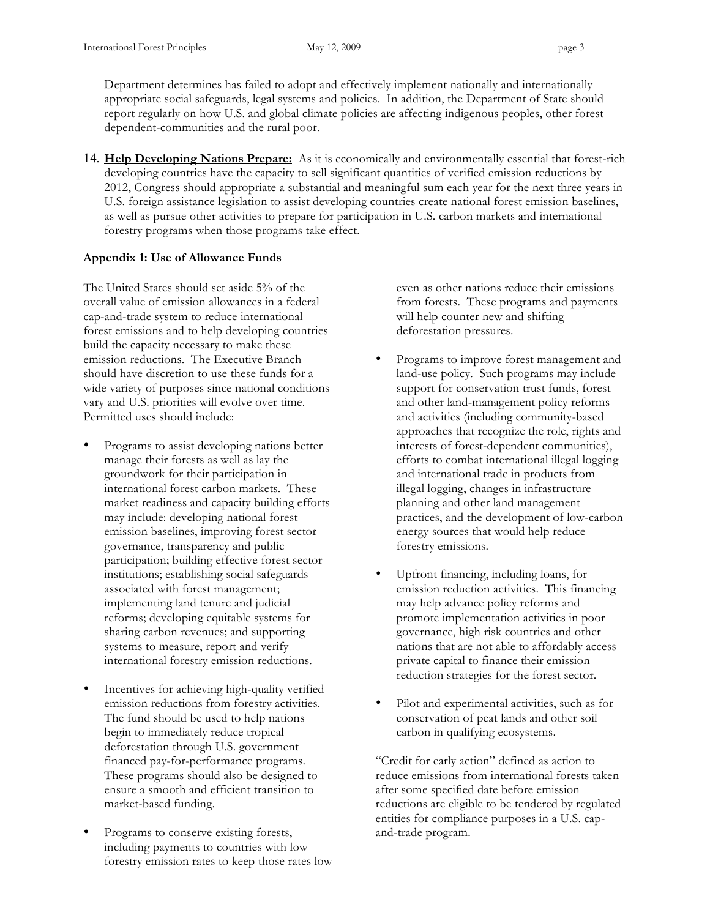Department determines has failed to adopt and effectively implement nationally and internationally appropriate social safeguards, legal systems and policies. In addition, the Department of State should report regularly on how U.S. and global climate policies are affecting indigenous peoples, other forest dependent-communities and the rural poor.

14. **Help Developing Nations Prepare:** As it is economically and environmentally essential that forest-rich developing countries have the capacity to sell significant quantities of verified emission reductions by 2012, Congress should appropriate a substantial and meaningful sum each year for the next three years in U.S. foreign assistance legislation to assist developing countries create national forest emission baselines, as well as pursue other activities to prepare for participation in U.S. carbon markets and international forestry programs when those programs take effect.

## **Appendix 1: Use of Allowance Funds**

The United States should set aside 5% of the overall value of emission allowances in a federal cap-and-trade system to reduce international forest emissions and to help developing countries build the capacity necessary to make these emission reductions. The Executive Branch should have discretion to use these funds for a wide variety of purposes since national conditions vary and U.S. priorities will evolve over time. Permitted uses should include:

- Programs to assist developing nations better manage their forests as well as lay the groundwork for their participation in international forest carbon markets. These market readiness and capacity building efforts may include: developing national forest emission baselines, improving forest sector governance, transparency and public participation; building effective forest sector institutions; establishing social safeguards associated with forest management; implementing land tenure and judicial reforms; developing equitable systems for sharing carbon revenues; and supporting systems to measure, report and verify international forestry emission reductions.
- Incentives for achieving high-quality verified emission reductions from forestry activities. The fund should be used to help nations begin to immediately reduce tropical deforestation through U.S. government financed pay-for-performance programs. These programs should also be designed to ensure a smooth and efficient transition to market-based funding.
- Programs to conserve existing forests, including payments to countries with low forestry emission rates to keep those rates low

even as other nations reduce their emissions from forests. These programs and payments will help counter new and shifting deforestation pressures.

- Programs to improve forest management and land-use policy. Such programs may include support for conservation trust funds, forest and other land-management policy reforms and activities (including community-based approaches that recognize the role, rights and interests of forest-dependent communities), efforts to combat international illegal logging and international trade in products from illegal logging, changes in infrastructure planning and other land management practices, and the development of low-carbon energy sources that would help reduce forestry emissions.
- Upfront financing, including loans, for emission reduction activities. This financing may help advance policy reforms and promote implementation activities in poor governance, high risk countries and other nations that are not able to affordably access private capital to finance their emission reduction strategies for the forest sector.
- Pilot and experimental activities, such as for conservation of peat lands and other soil carbon in qualifying ecosystems.

"Credit for early action" defined as action to reduce emissions from international forests taken after some specified date before emission reductions are eligible to be tendered by regulated entities for compliance purposes in a U.S. capand-trade program.